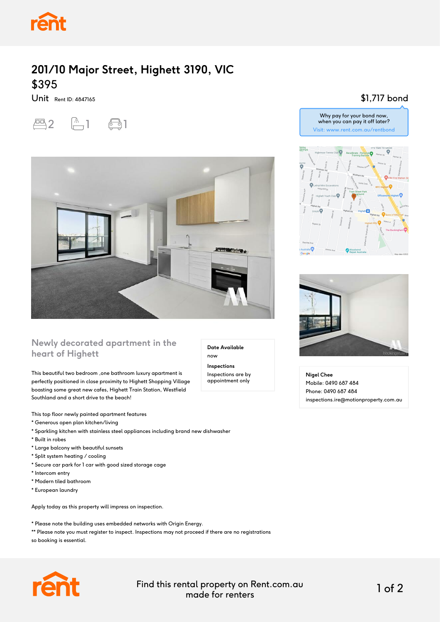

## **201/10 Major Street, Highett 3190, VIC** \$395

Unit Rent ID: 4847165





### **Newly decorated apartment in the heart of Highett**

This beautiful two bedroom ,one bathroom luxury apartment is perfectly positioned in close proximity to Highett Shopping Village boasting some great new cafes, Highett Train Station, Westfield Southland and a short drive to the beach!

This top floor newly painted apartment features

- \* Generous open plan kitchen/living
- \* Sparkling kitchen with stainless steel appliances including brand new dishwasher
- \* Built in robes
- \* Large balcony with beautiful sunsets
- \* Split system heating / cooling
- \* Secure car park for 1 car with good sized storage cage
- \* Intercom entry
- \* Modern tiled bathroom
- \* European laundry

Apply today as this property will impress on inspection.

\* Please note the building uses embedded networks with Origin Energy.

\*\* Please note you must register to inspect. Inspections may not proceed if there are no registrations so booking is essential.



Find this rental property on Rent.com.au made for renters 1 of 2

**Date Available**

now **Inspections** Inspections are by appointment only

#### \$1,717 bond







**Nigel Chee** Mobile: 0490 687 484 Phone: 0490 687 484 inspections.ire@motionproperty.com.au